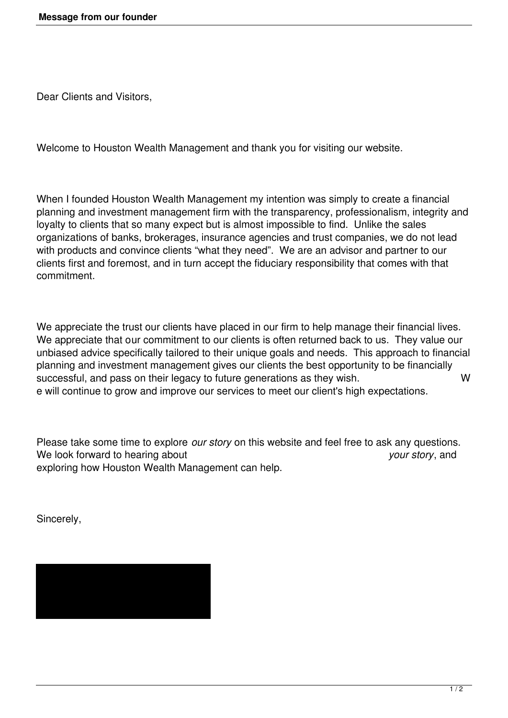Dear Clients and Visitors,

Welcome to Houston Wealth Management and thank you for visiting our website.

When I founded Houston Wealth Management my intention was simply to create a financial planning and investment management firm with the transparency, professionalism, integrity and loyalty to clients that so many expect but is almost impossible to find. Unlike the sales organizations of banks, brokerages, insurance agencies and trust companies, we do not lead with products and convince clients "what they need". We are an advisor and partner to our clients first and foremost, and in turn accept the fiduciary responsibility that comes with that commitment.

We appreciate the trust our clients have placed in our firm to help manage their financial lives. We appreciate that our commitment to our clients is often returned back to us. They value our unbiased advice specifically tailored to their unique goals and needs. This approach to financial planning and investment management gives our clients the best opportunity to be financially successful, and pass on their legacy to future generations as they wish. W e will continue to grow and improve our services to meet our client's high expectations.

Please take some time to explore *our story* on this website and feel free to ask any questions. We look forward to hearing about *your story*, and exploring how Houston Wealth Management can help.

Sincerely,